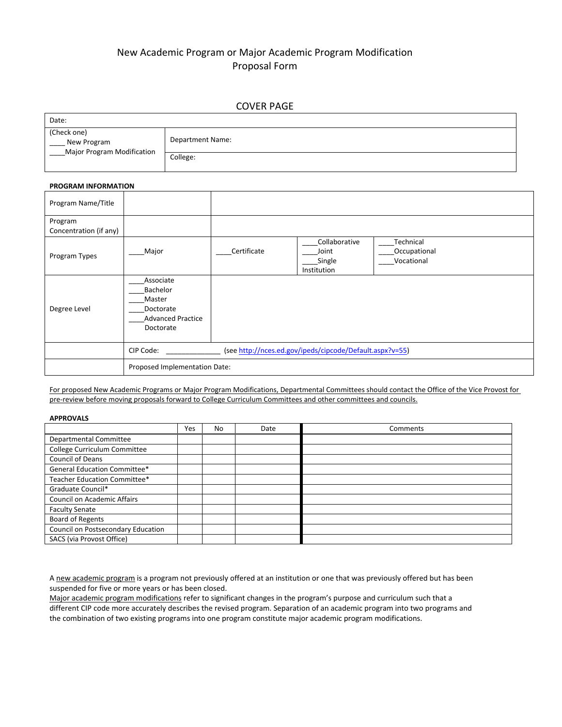# New Academic Program or Major Academic Program Modification Proposal Form

### COVER PAGE

| Date:                                                    |                  |
|----------------------------------------------------------|------------------|
| (Check one)<br>New Program<br>Major Program Modification | Department Name: |
|                                                          | College:         |

#### **PROGRAM INFORMATION**

| Program Name/Title                |                                                                                       |             |                                                 |                                         |  |  |
|-----------------------------------|---------------------------------------------------------------------------------------|-------------|-------------------------------------------------|-----------------------------------------|--|--|
| Program<br>Concentration (if any) |                                                                                       |             |                                                 |                                         |  |  |
| Program Types                     | Major                                                                                 | Certificate | Collaborative<br>Joint<br>Single<br>Institution | Technical<br>Occupational<br>Vocational |  |  |
| Degree Level                      | Associate<br>Bachelor<br>Master<br>Doctorate<br><b>Advanced Practice</b><br>Doctorate |             |                                                 |                                         |  |  |
|                                   | (see http://nces.ed.gov/ipeds/cipcode/Default.aspx?v=55)<br>CIP Code:                 |             |                                                 |                                         |  |  |
|                                   | Proposed Implementation Date:                                                         |             |                                                 |                                         |  |  |

For proposed New Academic Programs or Major Program Modifications, Departmental Committees should contact the Office of the Vice Provost for pre-review before moving proposals forward to College Curriculum Committees and other committees and councils.

#### **APPROVALS**

|                                    | Yes | No | Date | Comments |
|------------------------------------|-----|----|------|----------|
| Departmental Committee             |     |    |      |          |
| College Curriculum Committee       |     |    |      |          |
| Council of Deans                   |     |    |      |          |
| General Education Committee*       |     |    |      |          |
| Teacher Education Committee*       |     |    |      |          |
| Graduate Council*                  |     |    |      |          |
| Council on Academic Affairs        |     |    |      |          |
| <b>Faculty Senate</b>              |     |    |      |          |
| Board of Regents                   |     |    |      |          |
| Council on Postsecondary Education |     |    |      |          |
| SACS (via Provost Office)          |     |    |      |          |

A new academic program is a program not previously offered at an institution or one that was previously offered but has been suspended for five or more years or has been closed.

Major academic program modifications refer to significant changes in the program's purpose and curriculum such that a different CIP code more accurately describes the revised program. Separation of an academic program into two programs and the combination of two existing programs into one program constitute major academic program modifications.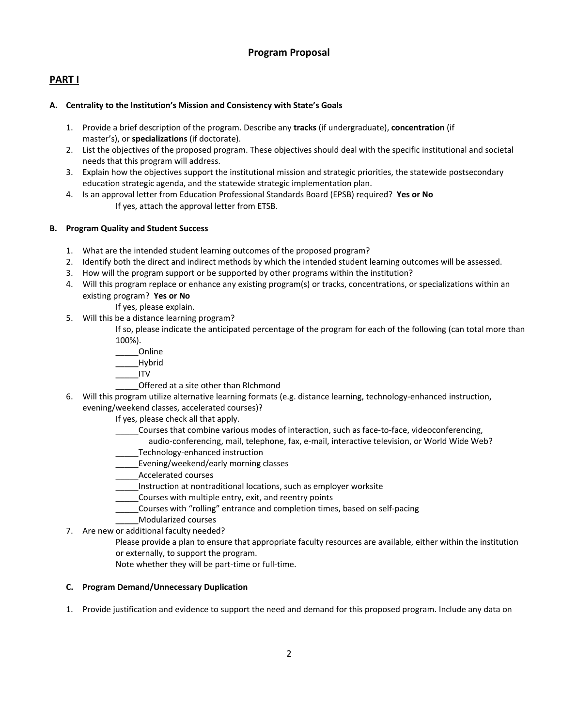## **Program Proposal**

## **PART I**

### **A. Centrality to the Institution's Mission and Consistency with State's Goals**

- 1. Provide a brief description of the program. Describe any **tracks** (if undergraduate), **concentration** (if master's), or **specializations** (if doctorate).
- 2. List the objectives of the proposed program. These objectives should deal with the specific institutional and societal needs that this program will address.
- 3. Explain how the objectives support the institutional mission and strategic priorities, the statewide postsecondary education strategic agenda, and the statewide strategic implementation plan.
- 4. Is an approval letter from Education Professional Standards Board (EPSB) required? **Yes or No** If yes, attach the approval letter from ETSB.

## **B. Program Quality and Student Success**

- 1. What are the intended student learning outcomes of the proposed program?
- 2. Identify both the direct and indirect methods by which the intended student learning outcomes will be assessed.
- 3. How will the program support or be supported by other programs within the institution?
- 4. Will this program replace or enhance any existing program(s) or tracks, concentrations, or specializations within an existing program? **Yes or No**

If yes, please explain.

- 5. Will this be a distance learning program?
	- If so, please indicate the anticipated percentage of the program for each of the following (can total more than 100%).
		- \_\_\_\_\_Online
		- \_\_\_\_\_Hybrid
	- \_\_\_\_\_ITV
		- \_\_\_\_\_Offered at a site other than RIchmond
- 6. Will this program utilize alternative learning formats (e.g. distance learning, technology-enhanced instruction, evening/weekend classes, accelerated courses)?
	- If yes, please check all that apply.
		- \_\_\_\_\_Courses that combine various modes of interaction, such as face‐to‐face, videoconferencing,
			- audio-conferencing, mail, telephone, fax, e-mail, interactive television, or World Wide Web? Technology-enhanced instruction
	- \_\_\_\_\_Evening/weekend/early morning classes
	- \_\_\_\_\_Accelerated courses
	- \_\_\_\_\_Instruction at nontraditional locations, such as employer worksite
	- \_\_\_\_\_Courses with multiple entry, exit, and reentry points
	- \_\_\_\_\_Courses with "rolling" entrance and completion times, based on self‐pacing
	- \_\_\_\_\_Modularized courses
- 7. Are new or additional faculty needed?
	- Please provide a plan to ensure that appropriate faculty resources are available, either within the institution or externally, to support the program.
		- Note whether they will be part‐time or full‐time.

### **C. Program Demand/Unnecessary Duplication**

1. Provide justification and evidence to support the need and demand for this proposed program. Include any data on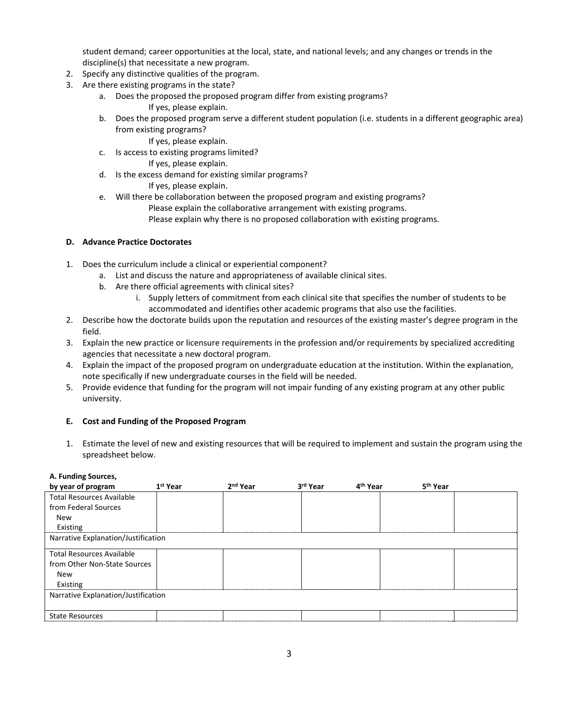student demand; career opportunities at the local, state, and national levels; and any changes or trends in the discipline(s) that necessitate a new program.

- 2. Specify any distinctive qualities of the program.
- 3. Are there existing programs in the state?
	- a. Does the proposed the proposed program differ from existing programs? If yes, please explain.
	- b. Does the proposed program serve a different student population (i.e. students in a different geographic area) from existing programs?
		- If yes, please explain.
	- c. Is access to existing programs limited?
		- If yes, please explain.
	- d. Is the excess demand for existing similar programs? If yes, please explain.
	- e. Will there be collaboration between the proposed program and existing programs?
		- Please explain the collaborative arrangement with existing programs.
		- Please explain why there is no proposed collaboration with existing programs.

### **D. Advance Practice Doctorates**

- 1. Does the curriculum include a clinical or experiential component?
	- a. List and discuss the nature and appropriateness of available clinical sites.
	- b. Are there official agreements with clinical sites?
		- i. Supply letters of commitment from each clinical site that specifies the number of students to be accommodated and identifies other academic programs that also use the facilities.
- 2. Describe how the doctorate builds upon the reputation and resources of the existing master's degree program in the field.
- 3. Explain the new practice or licensure requirements in the profession and/or requirements by specialized accrediting agencies that necessitate a new doctoral program.
- 4. Explain the impact of the proposed program on undergraduate education at the institution. Within the explanation, note specifically if new undergraduate courses in the field will be needed.
- 5. Provide evidence that funding for the program will not impair funding of any existing program at any other public university.

### **E. Cost and Funding of the Proposed Program**

1. Estimate the level of new and existing resources that will be required to implement and sustain the program using the spreadsheet below.

#### **A. Funding Sources,**

| by year of program                  | 1 <sup>st</sup> Year | 2 <sup>nd</sup> Year | 3rd Year | 4 <sup>th</sup> Year | 5 <sup>th</sup> Year |  |  |
|-------------------------------------|----------------------|----------------------|----------|----------------------|----------------------|--|--|
| <b>Total Resources Available</b>    |                      |                      |          |                      |                      |  |  |
| from Federal Sources                |                      |                      |          |                      |                      |  |  |
| <b>New</b>                          |                      |                      |          |                      |                      |  |  |
| Existing                            |                      |                      |          |                      |                      |  |  |
| Narrative Explanation/Justification |                      |                      |          |                      |                      |  |  |
| <b>Total Resources Available</b>    |                      |                      |          |                      |                      |  |  |
| from Other Non-State Sources        |                      |                      |          |                      |                      |  |  |
| <b>New</b>                          |                      |                      |          |                      |                      |  |  |
| Existing                            |                      |                      |          |                      |                      |  |  |
| Narrative Explanation/Justification |                      |                      |          |                      |                      |  |  |
| <b>State Resources</b>              |                      |                      |          |                      |                      |  |  |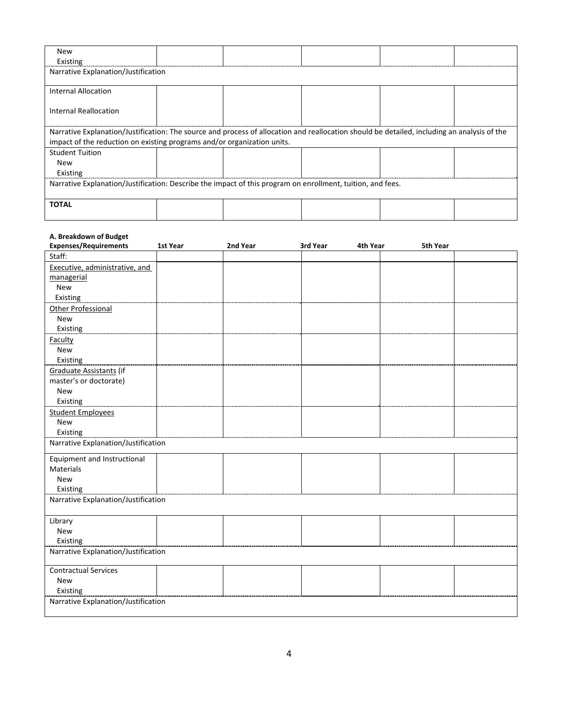| <b>New</b><br>Existing                                                                                     |                                                                                                                                             |  |  |  |  |  |
|------------------------------------------------------------------------------------------------------------|---------------------------------------------------------------------------------------------------------------------------------------------|--|--|--|--|--|
| Narrative Explanation/Justification                                                                        |                                                                                                                                             |  |  |  |  |  |
| Internal Allocation                                                                                        |                                                                                                                                             |  |  |  |  |  |
| Internal Reallocation                                                                                      |                                                                                                                                             |  |  |  |  |  |
|                                                                                                            | Narrative Explanation/Justification: The source and process of allocation and reallocation should be detailed, including an analysis of the |  |  |  |  |  |
| impact of the reduction on existing programs and/or organization units.                                    |                                                                                                                                             |  |  |  |  |  |
| <b>Student Tuition</b>                                                                                     |                                                                                                                                             |  |  |  |  |  |
| <b>New</b>                                                                                                 |                                                                                                                                             |  |  |  |  |  |
| Existing                                                                                                   |                                                                                                                                             |  |  |  |  |  |
| Narrative Explanation/Justification: Describe the impact of this program on enrollment, tuition, and fees. |                                                                                                                                             |  |  |  |  |  |
| <b>TOTAL</b>                                                                                               |                                                                                                                                             |  |  |  |  |  |

#### **A. Breakdown of Budget**

| <b>Expenses/Requirements</b>        | 1st Year | 2nd Year | 3rd Year<br>4th Year | 5th Year |  |  |  |
|-------------------------------------|----------|----------|----------------------|----------|--|--|--|
| Staff:                              |          |          |                      |          |  |  |  |
| Executive, administrative, and      |          |          |                      |          |  |  |  |
| managerial                          |          |          |                      |          |  |  |  |
| <b>New</b>                          |          |          |                      |          |  |  |  |
| Existing                            |          |          |                      |          |  |  |  |
| <b>Other Professional</b>           |          |          |                      |          |  |  |  |
| <b>New</b>                          |          |          |                      |          |  |  |  |
| Existing                            |          |          |                      |          |  |  |  |
| Faculty                             |          |          |                      |          |  |  |  |
| <b>New</b>                          |          |          |                      |          |  |  |  |
| Existing                            |          |          |                      |          |  |  |  |
| Graduate Assistants (if             |          |          |                      |          |  |  |  |
| master's or doctorate)              |          |          |                      |          |  |  |  |
| <b>New</b>                          |          |          |                      |          |  |  |  |
| Existing                            |          |          |                      |          |  |  |  |
| <b>Student Employees</b>            |          |          |                      |          |  |  |  |
| New                                 |          |          |                      |          |  |  |  |
| Existing                            |          |          |                      |          |  |  |  |
| Narrative Explanation/Justification |          |          |                      |          |  |  |  |
| <b>Equipment and Instructional</b>  |          |          |                      |          |  |  |  |
| Materials                           |          |          |                      |          |  |  |  |
| <b>New</b>                          |          |          |                      |          |  |  |  |
| Existing                            |          |          |                      |          |  |  |  |
| Narrative Explanation/Justification |          |          |                      |          |  |  |  |
|                                     |          |          |                      |          |  |  |  |
| Library                             |          |          |                      |          |  |  |  |
| <b>New</b>                          |          |          |                      |          |  |  |  |
| Existing                            |          |          |                      |          |  |  |  |
| Narrative Explanation/Justification |          |          |                      |          |  |  |  |
|                                     |          |          |                      |          |  |  |  |
| <b>Contractual Services</b>         |          |          |                      |          |  |  |  |
| <b>New</b>                          |          |          |                      |          |  |  |  |
| Existing                            |          |          |                      |          |  |  |  |
| Narrative Explanation/Justification |          |          |                      |          |  |  |  |
|                                     |          |          |                      |          |  |  |  |